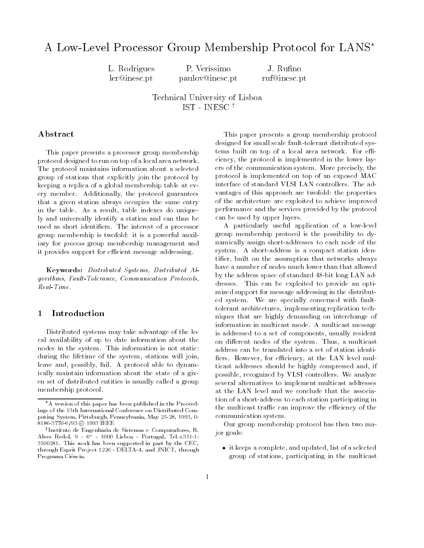# A Low-Level Processor Group Membership Protocol for LANS

L. Rodriguesler@inesc.pt

P. Veríssimo J. Rufino paulov@inesc.pt ruf@inesc.pt

Technical University of LisboaIST - INESC <sup>y</sup>

# Abstract

This paper presents a processor group membership protocol designed to run on top of a local area network. The protocol maintains information about a selected group of stations that explicitly join the protocol by keeping a replica of a global membership table at every member. Additionally, the protocol guarantees that a given station always occupies the same entry in the table. As a result, table indexes do uniquely and universally identify a station and can thus be used as short identifiers. The interest of a processor group membership is twofold: it is a powerful auxiliary for process group membership management and it provides support for efficient message addressing.

Keywords: Distributed Systems, Distributed Algorithms, Fault-Tolerance, Communication Protocols,

#### **Introduction** 1

Distributed systems may take advantage of the local availability of up to date information about the nodes in the system. This information is not static: during the lifetime of the system, stations will join, leave and, possibly, fail. A protocol able to dynamically maintain information about the state of a given set of distributed entities is usually called a group membership protocol.

This paper presents a group membership protocol designed for small scale fault-tolerant distributed systems built on top of a local area network. For efficiency, the protocol is implemented in the lower layers of the communication system. More precisely, the protocol is implemented on top of an exposed MAC interface of standard VLSI LAN controllers. The advantages of this approach are twofold: the properties of the architecture are exploited to achieve improved performance and the services provided by the protocol can be used by upper layers.

A particularly useful application of a low-level group membership protocol is the possibility to dynamically assign short-addresses to each node of the system. A short-address is a compact station identier, built on the assumption that networks always have a number of nodes much lower than that allowed by the address space of standard 48-bit long LAN addresses. This can be exploited to provide an optimized support for message addressing in the distributed system. We are specially concerned with faulttolerant architectures, implementing replication techniques that are highly demanding on interchange of information in multicast mode. A multicast message is addressed to a set of components, usually resident on different nodes of the system. Thus, a multicast address can be translated into a set of station identi fiers. However, for efficiency, at the LAN level multicast addresses should be highly compressed and, if possible, recognized by VLSI controllers. We analyze several alternatives to implement multicast addresses at the LAN level and we conclude that the association of a short-address to each station participating in the multicast traffic can improve the efficiency of the communication system.

Our group membership protocol has then two major goals:

 it keeps a complete, and updated, list of a selected group of stations, participating in the multicast

A version of this paper has been published in the Proceedings of the 13th International Conference on Distributed Computing System, Pittsburgh, Pennsylvania, May 25-28, 1993, 0- 8186-3770-6/93 © 1993 IEEE

<sup>y</sup> Instituto de Engenharia de Sistemas e Computadores, R. Alves Redol, 9 - 6o - 1000 Lisboa - Portugal, Tel.+351-1- 3100281. This work has been supported in part by the CEC, through Esprit Project 1226 - DELTA-4, and JNICT, through Programa Ci^encia.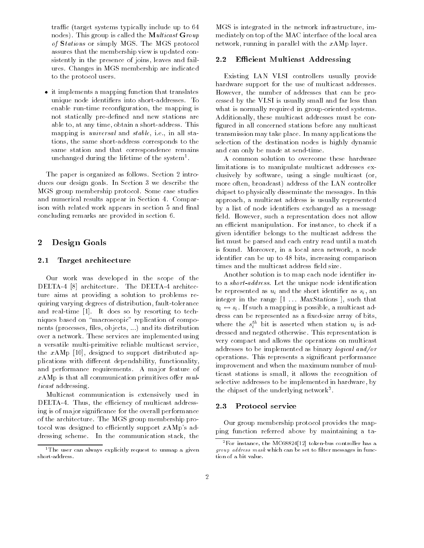traffic (target systems typically include up to 64 nodes). This group is called the **Multicast Group** of Stations or simply MGS. The MGS protocol assures that the membership view is updated consistently in the presence of joins, leaves and failures. Changes in MGS membership are indicated to the protocol users.

 it implements a mapping function that translates unique node identiers into short-addresses. To enable run-time reconfiguration, the mapping is not statically pre-defined and new stations are able to, at any time, obtain a short-address. This mapping is universal and stable, i.e., in all stations, the same short-address corresponds to the same station and that correspondence remains unchanged during the lifetime of the system1 .

The paper is organized as follows. Section 2 introduces our design goals. In Section 3 we describe the MGS group membership protocol. Some case studies and numerical results appear in Section 4. Comparison with related work appears in section 5 and final concluding remarks are provided in section 6.

# 2 Design Goals

# 2.1 Target architecture

Our work was developed in the scope of the DELTA-4 [8] architecture. The DELTA-4 architecture aims at providing a solution to problems requiring varying degrees of distribution, fault-tolerance and real-time [1]. It does so by resorting to techniques based on "macroscopic" replication of components (processes, files, objects, ...) and its distribution over a network. These services are implemented using a versatile multi-primitive reliable multicast service, the  $xAMP$  [10], designed to support distributed applications with different dependability, functionality, and performance requirements. A major feature of  $x$ AMp is that all communication primitives offer  $m\ell$ ticast addressing.

Multicast communication is extensively used in DELTA-4. Thus, the efficiency of multicast addressing is of major signicance for the overall performance of the architecture. The MGS group membership protocol was designed to efficiently support  $xAMp$ 's addressing scheme. In the communication stack, the

MGS is integrated in the network infrastructure, immediately on top of the MAC interface of the local area network, running in parallel with the  $xAMp$  layer.

# 2.2 Efficient Multicast Addressing

Existing LAN VLSI controllers usually provide hardware support for the use of multicast addresses. However, the number of addresses that can be processed by the VLSI is usually small and far less than what is normally required in group-oriented systems. Additionally, these multicast addresses must be con figured in all concerned stations before any multicast transmission may take place. In many applications the selection of the destination nodes is highly dynamic and can only be made at send-time.

A common solution to overcome these hardware limitations is to manipulate multicast addresses exclusively by software, using a single multicast (or, more often, broadcast) address of the LAN controller chipset to physically disseminate the messages. In this approach, a multicast address is usually represented by a list of node identiers exchanged as a message field. However, such a representation does not allow an efficient manipulation. For instance, to check if a given identier belongs to the multicast address the list must be parsed and each entry read until a match is found. Moreover, in a local area network, a node identifier can be up to 48 bits, increasing comparison times and the multicast address field size.

Another solution is to map each node identifier into a *short-address*. Let the unique node identification be represented as uncertainty in the short identical value of  $\omega$  and the short identical value of  $\omega$ integer in the range  $[1 \ldots$  MaxStations  $]$ , such that  $\mathcal{L}_{\mathcal{L}}$  . If such a mapping is possible, a multiple, a multiple, and additional model of  $\mathcal{L}_{\mathcal{L}}$ dress can be represented as a fixed-size array of bits, where the  $s_i^{\ldots}$  bit is asserted when station  $u_i$  is addressed and negated otherwise. This representation is very compact and allows the operations on multicast addresses to be implemented as binary logical and/or operations. This represents a signicant performance improvement and when the maximum number of multicast stations is small, it allows the recognition of selective addresses to be implemented in hardware, by the chipset of the underlying network2 .

# 2.3 Protocol service

Our group membership protocol provides the mapping function referred above by maintaining a ta-

<sup>&</sup>lt;sup>1</sup> The user can always explicitly request to unmap a given

 ${}^{2}$ For instance, the MC68824[12] token-bus controller has a group address mask which can be set to inter messages in func-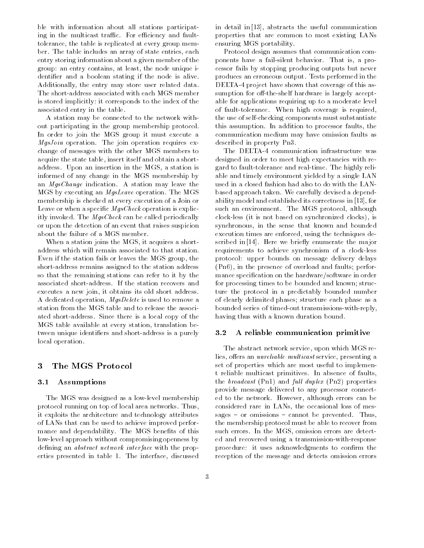ble with information about all stations participating in the multicast traffic. For efficiency and faulttolerance, the table is replicated at every group member. The table includes an array of state entries, each entry storing information about a given member of the group: an entry contains, at least, the node unique identifier and a boolean stating if the node is alive. Additionally, the entry may store user related data. The short-address associated with each MGS member is stored implicitly: it corresponds to the index of the associated entry in the table.

A station may be connected to the network without participating in the group membership protocol. In order to join the MGS group it must execute a MgsJoin operation. The join operation requires exchange of messages with the other MGS members to acquire the state table, insert itself and obtain a shortaddress. Upon an insertion in the MGS, a station is informed of any change in the MGS membership by an MgsChange indication. A station may leave the MGS by executing an MgsLeave operation. The MGS membership is checked at every execution of a Join or Leave or when a specific  $MgsCheck$  operation is explicitly invoked. The MgsCheck can be called periodically or upon the detection of an event that raises suspicion about the failure of a MGS member.

When a station joins the MGS, it acquires a shortaddress which will remain associated to that station. Even if the station fails or leaves the MGS group, the short-address remains assigned to the station address so that the remaining stations can refer to it by the associated short-address. If the station recovers and executes a new join, it obtains its old short address. A dedicated operation, MgsDelete is used to remove a station from the MGS table and to release the associated short-address. Since there is a local copy of the MGS table available at every station, translation between unique identiers and short-address is a purely local operation.

# 3 The MGS Protocol

# 3.1 Assumptions

The MGS was designed as a low-level membership protocol running on top of local area networks. Thus, it exploits the architecture and technology attributes of LANs that can be used to achieve improved performance and dependability. The MGS benefits of this low-level approach without compromising openness by defining an *abstract network interface* with the properties presented in table 1. The interface, discussed in detail in [13], abstracts the useful communication properties that are common to most existing LANs ensuring MGS portability.

Protocol design assumes that communication components have a fail-silent behavior. That is, a processor fails by stopping producing outputs but never produces an erroneous output. Tests performed in the DELTA-4 project have shown that coverage of this assumption for off-the-shelf hardware is largely acceptable for applications requiring up to a moderate level of fault-tolerance. When high coverage is required, the use of self-checking components must substantiate this assumption. In addition to processor faults, the communication medium may have omission faults as described in property Pn3.

The DELTA-4 communication infrastructure was designed in order to meet high expectancies with regard to fault-tolerance and real-time. The highly reliable and timely environment yielded by a single LAN used in a closed fashion had also to do with the LANbased approach taken. We carefully devised a dependability model and established its correctness in [13], for such an environment. The MGS protocol, although clock-less (it is not based on synchronized clocks), is synchronous, in the sense that known and bounded execution times are enforced, using the techniques described in [14]. Here we briefly enumerate the major requirements to achieve synchronism of a clock-less protocol: upper bounds on message delivery delays (Pn6), in the presence of overload and faults; performance specication on the hardware/software in order for processing times to be bounded and known; structure the protocol in a predictably bounded number of clearly delimited phases; structure each phase as a bounded series of timed-out transmissions-with-reply, having thus with a known duration bound.

# 3.2 A reliable communication primitive

The abstract network service, upon which MGS relies, offers an *unreliable multicast* service, presenting a set of properties which are most useful to implement reliable multicast primitives. In absence of faults, the *broadcast* (Pn1) and full *duplex* (Pn2) properties provide message delivered to any processor connected to the network. However, although errors can be considered rare in LANs, the occasional loss of messages  $-$  or omissions  $-$  cannot be prevented. Thus, the membership protocol must be able to recover from such errors. In the MGS, omission errors are detected and recovered using a transmission-with-response procedure: it uses acknowledgments to confirm the reception of the message and detects omission errors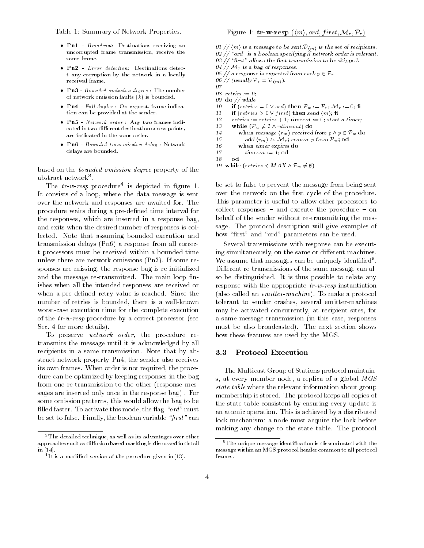Table 1: Summary of Network Properties.

- Pn1 Broadcast: Destinations receiving an uncorrupted frame transmission, receive the same frame.
- Pn2 Error detection: Destinations detect any corruption by the network in a locally received frame.
- Pn3 Bounded omission degree : The number of network omission faults  $(k)$  is bounded.
- $\bullet$  Pn4 Full duplex : On request, frame indication can be provided at the sender.
- Pn5 Network order : Any two frames indicated in two different destination access points, are indicated in the same order.
- Pn6 Bounded transmission delay : Network delays are bounded.

based on the bounded omission degree property of the abstract network=.\_\_

The  $tr-w-tesp$  procedure is depicted in figure 1. It consists of a loop, where the data message is sent over the network and responses are awaited for. The procedure waits during a pre-defined time interval for the responses, which are inserted in a response bag, and exits when the desired number of responses is collected. Note that assuming bounded execution and transmission delays (Pn6) a response from all correct processors must be received within a bounded time unless there are network omissions (Pn3). If some responses are missing, the response bag is re-initialized and the message re-transmitted. The main loop finishes when all the intended responses are received or when a pre-defined retry value is reached. Since the number of retries is bounded, there is a well-known worst-case execution time for the complete execution of the tr-w-resp procedure by a correct processor (see Sec. 4 for more details).

To preserve network order, the procedure retransmits the message until it is acknowledged by all recipients in a same transmission. Note that by abstract network property Pn4, the sender also receives its own frames. When order is not required, the procedure can be optimized by keeping responses in the bag from one re-transmission to the other (response messages are inserted only once in the response bag) . For some omission patterns, this would allow the bag to be filled faster. To activate this mode, the flag "ord" must be set to false. Finally, the boolean variable " $first"$  can

- 01 //  $\langle m \rangle$  is a message to be sent.  $\mathcal{D}_{m}$  is the set of recipients.
- 02  $\frac{1}{2}$  "ord" is a boolean specifying if network order is relevant.
- $03$  // "first" allows the first transmission to be skipped. 04 //  $\mathcal{M}_r$  is a bag of responses.
- 05 // a response is expected from each  $p \in \mathcal{P}_r$
- 06 // (usually  $\mathcal{P}_r = \mathcal{D}_{(m)}$ ).
- $07$
- 08 retries := 0;
- 09 do // while
- $10$ if (retries =  $0 \vee \text{ord}$ ) then  $\mathcal{P}_w := \mathcal{P}_r$ ;  $\mathcal{M}_r := 0$ ; fi
- 11 if (retries  $> 0 \vee first$ ) then send  $\langle m \rangle$ ; fi
- -12  $retries := retries + 1; timeout := 0; start a timer;$
- $15$  while (Pw  $\tau$  is the set of  $\alpha$
- 14 when message  $\langle r_m \rangle$  received from  $p \wedge p \in \mathcal{P}_w$  do
- 15 15 add  $\{T_m\}$  to  $\mathcal{W}[\tau]$ ; remove p from  $F_w$ ; od
- 16 when timer expires do
- $17$  $timeout := 1; \text{od}$

```
18 od
```

```
19 while (retries \langle MAX \wedge \mathcal{P}_w \neq \emptyset \rangle
```
be set to false to prevent the message from being sent over the network on the first cycle of the procedure. This parameter is useful to allow other processors to collect responses  $-$  and execute the procedure  $-$  on behalf of the sender without re-transmitting the message. The protocol description will give examples of how "first" and "ord" parameters can be used.

Several transmissions with response can be executing simultaneously, on the same or different machines. we assume that messages can be uniquely identified to Different re-transmissions of the same message can also be distinguished. It is thus possible to relate any response with the appropriate  $tr-w-resp$  instantiation (also called an emitter-machine). To make a protocol tolerant to sender crashes, several emitter-machines may be activated concurrently, at recipient sites, for a same message transmission (in this case, responses must be also broadcasted). The next section shows how these features are used by the MGS.

The Multicast Group of Stations protocol maintains, at every member node, a replica of a global MGS state table where the relevant information about group membership is stored. The protocol keeps all copies of the state table consistent by ensuring every update is an atomic operation. This is achieved by a distributed lock mechanism: a node must acquire the lock before making any change to the state table. The protocol

<sup>&</sup>lt;sup>3</sup>The detailed technique, as well as its advantages over other approaches such as diffusion based masking is discussed in detail in [14].

<sup>4</sup> It is a modied version of the procedure given in [13].

<sup>&</sup>lt;sup>5</sup>The unique message identification is disseminated with the message within an MGS protocol header common to all protocol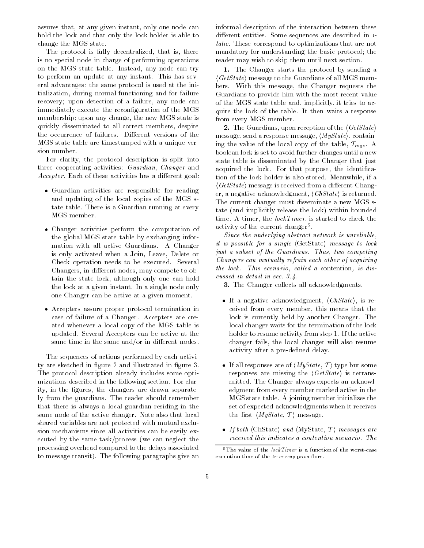assures that, at any given instant, only one node can hold the lock and that only the lock holder is able to change the MGS state.

The protocol is fully decentralized, that is, there is no special node in charge of performing operations on the MGS state table. Instead, any node can try to perform an update at any instant. This has several advantages: the same protocol is used at the initialization, during normal functioning and for failure recovery; upon detection of a failure, any node can immediately execute the reconfiguration of the MGS membership; upon any change, the new MGS state is quickly disseminated to all correct members, despite the occurrence of failures. Different versions of the MGS state table are timestamped with a unique version number.

For clarity, the protocol description is split into three cooperating activities: Guardian, Changer and Accepter. Each of these activities has a different goal:

- Guardian activities are responsible for reading and updating of the local copies of the MGS state table. There is a Guardian running at every MGS member.
- Changer activities perform the computation of the global MGS state table by exchanging information with all active Guardians. A Changer is only activated when a Join, Leave, Delete or Check operation needs to be executed. Several Changers, in different nodes, may compete to obtain the state lock, although only one can hold the lock at a given instant. In a single node only one Changer can be active at a given moment.
- Accepters assure proper protocol termination in case of failure of a Changer. Accepters are created whenever a local copy of the MGS table is updated. Several Accepters can be active at the same time in the same and/or in different nodes.

The sequences of actions performed by each activity are sketched in figure 2 and illustrated in figure 3. The protocol description already includes some optimizations described in the following section. For clarity, in the figures, the changers are drawn separately from the guardians. The reader should remember that there is always a local guardian residing in the same node of the active changer. Note also that local shared variables are not protected with mutual exclusion mechanisms since all activities can be easily executed by the same task/process (we can neglect the processing overhead compared to the delays associated to message transit). The following paragraphs give an informal description of the interaction between these different entities. Some sequences are described in  $i$ talic. These correspond to optimizations that are not mandatory for understanding the basic protocol; the reader may wish to skip them until next section.

1. The Changer starts the protocol by sending a  $\langle GetState \rangle$  message to the Guardians of all MGS members. With this message, the Changer requests the Guardians to provide him with the most recent value of the MGS state table and, implicitly, it tries to acquire the lock of the table. It then waits a response from every MGS member.

2. The Guardians, upon reception of the  $\langle GetState \rangle$ message, send a response message,  $\langle MyState\rangle$ , containing the value of the local copy of the table,  $T_{mgs}$ . A boolean lock is set to avoid further changes until a new state table is disseminated by the Changer that just acquired the lock. For that purpose, the identification of the lock holder is also stored. Meanwhile, if a  $\langle GetState \rangle$  message is received from a different Changer, a negative acknowledgment,  $\langle ChState\rangle$  is returned. The current changer must disseminate a new MGS state (and implicitly release the lock) within bounded time. A timer, the *lockTimer*, is started to check the activity of the current changer .

Since the underlying abstract network is unreliable, it is possible for a single  $\langle\text{GetState}\rangle$  message to lock just a subset of the Guardians. Thus, two competing Changers can mutually refrain each other of acquiring the lock. This scenario, called a contention, is discussed in detail in sec. 3.4.

3. The Changer collects all acknowledgments.

- If a negative acknowledgment,  $\langle ChState \rangle$ , is received from every member, this means that the lock is currently held by another Changer. The local changer waits for the termination of the lock holder to resume activity from step 1. If the active changer fails, the local changer will also resume activity after a pre-defined delay.
- If all responses are of  $\langle MyState, T \rangle$  type but some responses are missing the  $\langle GetState \rangle$  is retransmitted. The Changer always expects an acknowledgment from every member marked active in the MGS state table. A joining member initializes the set of expected acknowledgments when it receives the first  $\langle MyState, T \rangle$  message.
- If both  $\langle$ ChState $\rangle$  and  $\langle$ MyState, T $\rangle$  messages are received this indicates a contention scenario. The

<sup>&</sup>lt;sup>6</sup>The value of the *lockTimer* is a function of the worst-case execution time of the tr-w-resp procedure.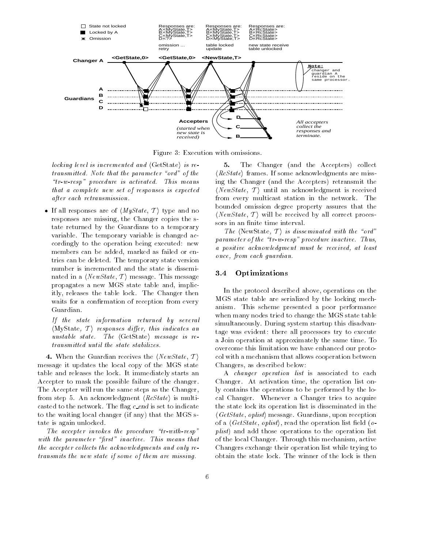

Figure 3: Execution with omissions.

locking level is incremented and  $\langle GetState \rangle$  is retransmitted. Note that the parameter "ord" of the  $\emph{``tr-w-resp''}$  procedure is activated. This means that a complete new set of responses is expected after each retransmission.

• If all responses are of  $\langle MyState, T \rangle$  type and no responses are missing, the Changer copies the state returned by the Guardians to a temporary variable. The temporary variable is changed accordingly to the operation being executed: new members can be added, marked as failed or entries can be deleted. The temporary state version number is incremented and the state is disseminated in a  $\langle NewState, T \rangle$  message. This message propagates a new MGS state table and, implicitly, releases the table lock. The Changer then waits for a confirmation of reception from every Guardian.

If the state information returned by several  $\langle \text{MyState}, T \rangle$  responses differ, this indicates an unstable state. The  $\langle GetState \rangle$  message is retransmitted until the state stabilizes.

4. When the Guardian receives the  $\langle NewState, T \rangle$ message it updates the local copy of the MGS state table and releases the lock. It immediately starts an Accepter to mask the possible failure of the changer. The Accepter will run the same steps as the Changer, from step 5. An acknowledgment  $\langle RcState \rangle$  is multicasted to the network. The flag  $c$ -end is set to indicate to the waiting local changer (if any) that the MGS state is again unlocked.

The accepter invokes the procedure " $tr\text{-}with\text{-}resp$ " with the parameter "first" inactive. This means that the accepter collects the acknowledgments and only retransmits the new state if some of them are missing.

5. The Changer (and the Accepters) collect  $\langle$  RcState) frames. If some acknowledgments are missing the Changer (and the Accepters) retransmit the  $\langle NewState, T \rangle$  until an acknowledgment is received from every multicast station in the network. The bounded omission degree property assures that the  $\langle NewState, T \rangle$  will be received by all correct processors in an finite time interval.

The  $\langle$ NewState, T $\rangle$  is disseminated with the "ord" parameter of the " $tr-w-resp$ " procedure inactive. Thus, a positive acknow ledgment must be received, at least once, from each guardian.

# 3.4 Optimizations

In the protocol described above, operations on the MGS state table are serialized by the locking mechanism. This scheme presented a poor performance when many nodes tried to change the MGS state table simultaneously. During system startup this disadvantage was evident: there all processors try to execute a Join operation at approximately the same time. To overcome this limitation we have enhanced our protocol with a mechanism that allows cooperation between Changers, as described below:

A changer operation list is associated to each Changer. At activation time, the operation list only contains the operations to be performed by the local Changer. Whenever a Changer tries to acquire the state lock its operation list is disseminated in the  $\langle GetState, oplist \rangle$  message. Guardians, upon reception of a  $\langle GetState, oplist \rangle$ , read the operation list field (*o*plist) and add those operations to the operation list of the local Changer. Through this mechanism, active Changers exchange their operation list while trying to obtain the state lock. The winner of the lock is then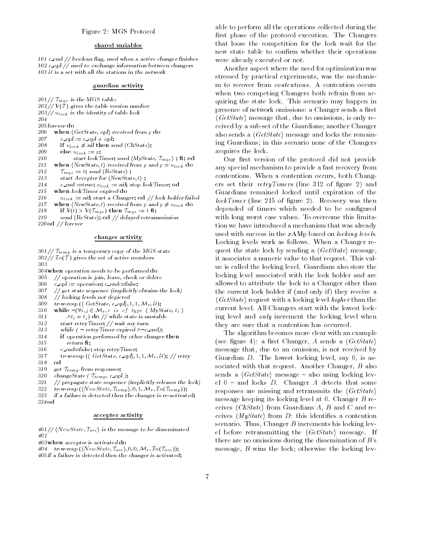# Figure 2: MGS Protocol

# shared variables

 $101$  c end  $//$  boolean flag, used when a active changer finishes 102 c opl // used to exchange information between changers  $103 U$  is a set with all the stations in the network

## guardian activity

 $201 //$   $T_{mgs}$  is the MGS table;  $202 // V(T)$  gives the table version number 203 // ulock is the identity of table lock 204 205 forever do 206 when  $\langle GetState, opl \rangle$  received from p do 207 c opl :=  $c$  opl + opl;  $\mathbb{R}^3$  if  $\mathbb{Z}^3$  if  $\mathbb{Z}^3$  if the sensor is not interesting to the sensor is not interesting to the sensor is not interesting to the sensor is not interesting to the sensor interesting of  $\mathbb{Z}^3$ . 200 else u $_{loc}$ k := p; 210 start lockTimer; send  $\langle MyState, T_{mgs} \rangle$ ; fi; od  $211$  which has however, the central point  $p = u_{\rm BCK}$  do  $\frac{1}{2}$   $\frac{1}{2}$   $\frac{1}{2}$   $\frac{1}{2}$   $\frac{1}{2}$   $\frac{1}{2}$   $\frac{1}{2}$   $\frac{1}{2}$   $\frac{1}{2}$   $\frac{1}{2}$   $\frac{1}{2}$   $\frac{1}{2}$   $\frac{1}{2}$   $\frac{1}{2}$   $\frac{1}{2}$   $\frac{1}{2}$   $\frac{1}{2}$   $\frac{1}{2}$   $\frac{1}{2}$   $\frac{1}{2}$   $\frac{1}{2}$   $\frac{1}{2}$  213 start Accepter for  $\langle NewState, t \rangle$ ;  $214$  c end :=true;  $u_{lock}$  := nii; stop lock Timer; od 215 when lockTimer expired do  $210$   $u_{lock} :=$  nil; start a Changer; od // lock holder failed

- $217$  when the model of received from p and p  $\eta$  when  $\alpha$
- $2.2$  if  $\frac{1}{2}$  if  $\frac{1}{2}$  if  $\frac{1}{2}$  if  $\frac{1}{2}$  if  $\frac{1}{2}$  if  $\frac{1}{2}$  if  $\frac{1}{2}$  if  $\frac{1}{2}$  if  $\frac{1}{2}$  if  $\frac{1}{2}$  if  $\frac{1}{2}$  if  $\frac{1}{2}$  if  $\frac{1}{2}$  if  $\frac{1}{2}$  if  $\frac{1}{2}$  if  $\frac{1}{2}$  if  $\frac{$
- 219 send  $\langle RcState \rangle$ ; od  $//$  delayed retransmission
- 220 od // forever

# changer activity

 $301 //$   $\mathcal{T}_{temp}$  is a temporary copy of the MGS state  $302$  //  $\text{Im}(\mathcal{T})$  gives the set of active members 303

304 when operation needs to be performed do

- 305  $// operation is join, leave, check or delete$
- $306$  c opl := operation; c end:=false;
- 307 // get state sequence (implicitly obtains the lock)
- 308 // locking levels not depicted
- 309  $tr-w\text{-}resp \ (\langle \text{ GetState}, \text{c\_opl} \rangle, 1, 1, \mathcal{M}_r, \mathcal{U});$
- $\mathcal{I}$  while  $\{V_{i,j}\subset V_{i,j+1},\ldots,V_{i,j} \}$  , the state is in the matrix of the matrix of the matrix of the matrix of the matrix of the matrix of the matrix of the matrix of the matrix of the matrix of the matrix of the ma
- $\mathcal{I}$   $\mathcal{I}$   $\mathcal{I}$   $\mathcal{I}$   $\mathcal{I}$   $\mathcal{I}$   $\mathcal{I}$   $\mathcal{I}$   $\mathcal{I}$   $\mathcal{I}$  while state is unstable
- 312 start retryTimer; // wait my turn
- 313 while  $(\neg$  retryTimer expired  $\land \neg c$  end);
- 314 if operation performed by other changer then
- $315$  return fi;
- 316 c\_end=false; stop retryTimer;
- 317 tr-w-resp ( $\langle$  GetState, c opl $\rangle$ , 1, 1,  $\mathcal{M}_r$ , U); // retry 318 od
- 
- 319 get Ttemp from responses; 320 changeState ( $\tau_{temp}$ , c\_opl);
- 321  $1/2$  propagate state sequence (implicitly releases the lock)
- 322  $tr-w\text{-}resp (\langle NewState, \mathcal{T}_{temp} \rangle, 0, 1, \mathcal{M}_r, \mathcal{T}_n(\mathcal{T}_{temp}))$ ;

323 if a failure is detected then the changer is re-activated;

324 od

### accepter activity

401 //  $\langle NewState, T_{acc} \rangle$  is the message to be disseminated 402

403 when accepter is activated do

404 tr-w-resp  $(NewState, T_{acc}), 0, 0, M_r, In(T_{acc})$ ;

405 if a failure is detected then the changer is activated;

able to perform all the operations collected during the first phase of the protocol execution. The Changers that loose the competition for the lock wait for the new state table to confirm whether their operations were already executed or not.

Another aspect where the need for optimization was stressed by practical experiments, was the mechanism to recover from *contentions*. A contention occurs when two competing Changers both refrain from acquiring the state lock. This scenario may happen in presence of network omissions: a Changer sends a first  $\langle GetState \rangle$  message that, due to omissions, is only received by a sub-set of the Guardians; another Changer also sends a  $\langle GetState \rangle$  message and locks the remaining Guardians; in this scenario none of the Changers acquires the lock.

Our first version of the protocol did not provide any special mechanism to provide a fast recovery from contentions. When a contention occurs, both Changers set their *retryTimers* (line 312 of figure 2) and Guardians remained locked until expiration of the  $lockTimer$  (line 215 of figure 2). Recovery was then depended of timers which needed to be configured with long worst case values. To overcome this limitation we have introduced a mechanism that was already used with success in the  $xAMp$  based on *locking levels*. Locking levels work as follows. When a Changer request the state lock by sending a  $\langle GetState \rangle$  message, it associates a numeric value to that request. This value is called the locking level. Guardians also store the locking level associated with the lock holder and are allowed to attribute the lock to a Changer other than the current lock holder if (and only if) they receive a  $\langle GetState \rangle$  request with a locking level higher than the current level. All Changers start with the lowest locking level and only increment the locking level when they are sure that a contention has occurred.

The algorithm becomes more clear with an example (see figure 4): a first Changer, A sends a  $\langle GetState \rangle$ message that, due to an omission, is not received by Guardian D. The lowest locking level, say 0, is associated with that request. Another Changer, B also sends a  $\langle GetState \rangle$  message - also using locking level  $0$  – and locks D. Changer A detects that some responses are missing and retransmits the  $\langle GetState \rangle$ message keeping its locking level at 0. Changer B receives  $\langle ChState\rangle$  from Guardians A, B and C and receives  $\langle MyState\rangle$  from D: this identifies a contention scenario. Thus, Changer  $B$  increments his locking level before retransmitting the  $\langle GetState \rangle$  message. If there are no omissions during the dissemination of  $B$ 's message, B wins the lock; otherwise the locking lev-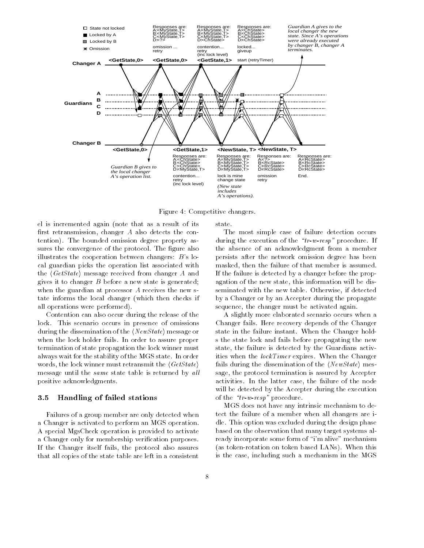

Figure 4: Competitive changers.

el is incremented again (note that as a result of its first retransmission, changer  $A$  also detects the contention). The bounded omission degree property assures the convergence of the protocol. The figure also illustrates the cooperation between changers: B's local guardian picks the operation list associated with the  $\langle GetState \rangle$  message received from changer A and gives it to changer B before a new state is generated; when the guardian at processor A receives the new state informs the local changer (which then checks if all operations were performed).

Contention can also occur during the release of the lock. This scenario occurs in presence of omissions during the dissemination of the  $\langle NewState \rangle$  message or when the lock holder fails. In order to assure proper termination of state propagation the lock winner must always wait for the stability of the MGS state. In order words, the lock winner must retransmit the  $\langle GetState \rangle$ message until the same state table is returned by all positive acknowledgments.

# 3.5 Handling of failed stations

Failures of a group member are only detected when a Changer is activated to perform an MGS operation. A special MgsCheck operation is provided to activate a Changer only for membership verication purposes. If the Changer itself fails, the protocol also assures that all copies of the state table are left in a consistent

state.

The most simple case of failure detection occurs during the execution of the  $\text{``}tr\text{-}w\text{-}resp\text{''}$  procedure. If the absence of an acknowledgment from a member persists after the network omission degree has been masked, then the failure of that member is assumed. If the failure is detected by a changer before the propagation of the new state, this information will be disseminated with the new table. Otherwise, if detected by a Changer or by an Accepter during the propagate sequence, the changer must be activated again.

A slightly more elaborated scenario occurs when a Changer fails. Here recovery depends of the Changer state in the failure instant. When the Changer holds the state lock and fails before propagating the new state, the failure is detected by the Guardians activities when the *lockTimer* expires. When the Changer fails during the dissemination of the  $\langle NewState \rangle$  message, the protocol termination is assured by Accepter activities. In the latter case, the failure of the node will be detected by the Accepter during the execution of the  $\textit{``tr-w-resp''}$  procedure.

MGS does not have any intrinsic mechanism to detect the failure of a member when all changers are idle. This option was excluded during the design phase based on the observation that many target systems already incorporate some form of "i'm alive" mechanism (as token-rotation on token based LANs). When this is the case, including such a mechanism in the MGS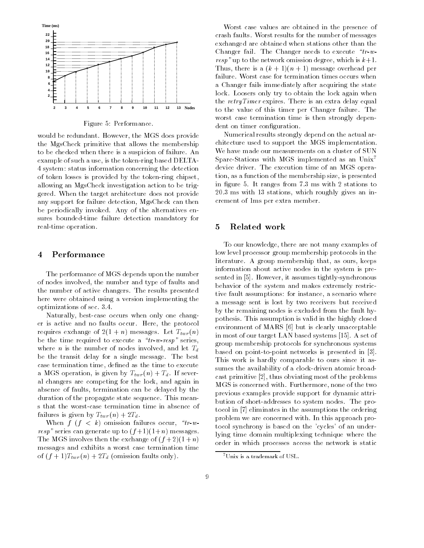

Figure 5: Performance.

would be redundant. However, the MGS does provide the MgsCheck primitive that allows the membership to be checked when there is a suspicion of failure. An example of such a use, is the token-ring based DELTA-4 system: status information concerning the detection of token losses is provided by the token-ring chipset, allowing an MgsCheck investigation action to be triggered. When the target architecture does not provide any support for failure detection, MgsCheck can then be periodically invoked. Any of the alternatives ensures bounded-time failure detection mandatory for real-time operation.

# 4 Performance

The performance of MGS depends upon the number of nodes involved, the number and type of faults and the number of active changers. The results presented here were obtained using a version implementing the optimizations of sec. 3.4.

Naturally, best-case occurs when only one changer is active and no faults occur. Here, the protocol requires the complete  $\mathcal{L} = \{1, \ldots, n\}$  messages. Let  $\mathcal{L} = \{n\}$ be the time required to execute a  $\text{``}tr-w\text{-}resp\text{''}$  series, where *n* is the number of nodes involved, and let  $T_d$ be the transit delay for a single message. The best case termination time, defined as the time to execute a MGS operation, is given by Tagacher and the United States and International States and International States al changers are competing for the lock, and again in absence of faults, termination can be delayed by the duration of the propagate state sequence. This means that the worst-case termination time in absence of failures is given by Ttwin (n)  $-2$ 

When  $f$   $(f < k)$  omission failures occur, "tr-wresp" series can generate up to  $(f+1)(1+n)$  messages. The MGS involves then the exchange of  $(f+2)(1+n)$ messages and exhibits a worst case termination time of (f i i i i distribution faults on the community of  $\mathcal{L}$ 

Worst case values are obtained in the presence of crash faults. Worst results for the number of messages exchanged are obtained when stations other than the Changer fail. The Changer needs to execute  $\text{``}tr\text{-}w\text{-}$ resp" up to the network omission degree, which is  $k+1$ . Thus, there is a  $(k + 1)(n + 1)$  message overhead per failure. Worst case for termination times occurs when a Changer fails immediately after acquiring the state lock. Loosers only try to obtain the lock again when the retryTimer expires. There is an extra delay equal to the value of this timer per Changer failure. The worst case termination time is then strongly dependent on timer configuration.

Numerical results strongly depend on the actual architecture used to support the MGS implementation. We have made our measurements on a cluster of SUN Sparc-Stations with MGS implemented as an Unix7 device driver. The execution time of an MGS operation, as a function of the membership size, is presented in figure 5. It ranges from 7.3 ms with 2 stations to 20.3 ms with 13 stations, which roughly gives an increment of 1ms per extra member.

#### $\overline{5}$ 5 Related work

To our knowledge, there are not many examples of low level processor group membership protocols in the literature. A group membership that, as ours, keeps information about active nodes in the system is presented in [5]. However, it assumes tightly-synchronous behavior of the system and makes extremely restrictive fault assumptions: for instance, a scenario where a message sent is lost by two receivers but received by the remaining nodes is excluded from the fault hypothesis. This assumption is valid in the highly closed environment of MARS [6] but is clearly unacceptable in most of our target LAN based systems [15]. A set of group membership protocols for synchronous systems based on point-to-point networks is presented in [3]. This work is hardly comparable to ours since it assumes the availability of a clock-driven atomic broadcast primitive [2], thus obviating most of the problems MGS is concerned with. Furthermore, none of the two previous examples provide support for dynamic attribution of short-addresses to system nodes. The protocol in [7] eliminates in the assumptions the ordering problem we are concerned with. In this approach protocol synchrony is based on the 'cycles' of an underlying time domain multiplexing technique where the order in which processes access the network is static

<sup>7</sup>Unix is a trademark of USL.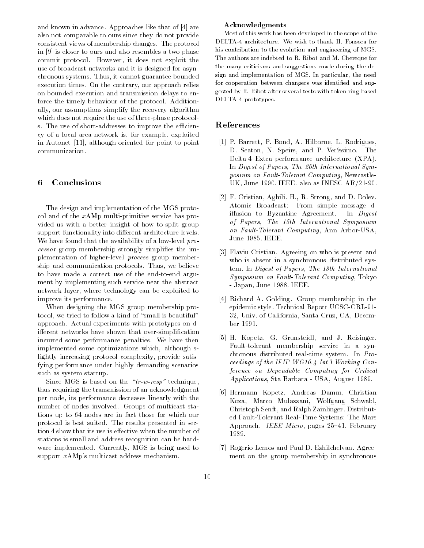and known in advance. Approaches like that of [4] are also not comparable to ours since they do not provide consistent views of membership changes. The protocol in [9] is closer to ours and also resembles a two-phase commit protocol. However, it does not exploit the use of broadcast networks and it is designed for asynchronous systems. Thus, it cannot guarantee bounded execution times. On the contrary, our approach relies on bounded execution and transmission delays to enforce the timely behaviour of the protocol. Additionally, our assumptions simplify the recovery algorithm which does not require the use of three-phase protocols. The use of short-addresses to improve the efficiency of a local area network is, for example, exploited in Autonet [11], although oriented for point-to-point communication.

# 6 Conclusions

The design and implementation of the MGS protocol and of the xAMp multi-primitive service has provided us with a better insight of how to split group support functionality into different architecture levels. We have found that the availability of a low-level processor group membership strongly simplies the implementation of higher-level process group membership and communication protocols. Thus, we believe to have made a correct use of the end-to-end argu ment by implementing such service near the abstract network layer, where technology can be exploited to improve its performance.

When designing the MGS group membership protocol, we tried to follow a kind of "small is beautiful" approach. Actual experiments with prototypes on different networks have shown that over-simplification incurred some performance penalties. We have then implemented some optimizations which, although slightly increasing protocol complexity, provide satisfying performance under highly demanding scenarios such as system startup.

Since MGS is based on the  $\tau$ -w-resp" technique, thus requiring the transmission of an acknowledgment per node, its performance decreases linearly with the number of nodes involved. Groups of multicast stations up to 64 nodes are in fact those for which our protocol is best suited. The results presented in section 4 show that its use is effective when the number of stations is small and address recognition can be hard ware implemented. Currently, MGS is being used to support xAMp's multicast address mechanism.

# Acknowledgments

Most of this work has been developed in the scope of the DELTA-4 architecture. We wish to thank H. Fonseca for his contribution to the evolution and engineering of MGS. The authors are indebted to R. Ribot and M. Chereque for the many criticisms and suggestions made during the design and implementation of MGS. In particular, the need for cooperation between changers was identified and suggested by R. Ribot after several tests with token-ring based DELTA-4 prototypes.

# References

- [1] P. Barrett, P. Bond, A. Hilborne, L. Rodrigues, D. Seaton, N. Speirs, and P. Verissimo. The Delta-4 Extra performance architecture (XPA). In Digest of Papers, The 20th International Symposium on Fault-Tolerant Computing, Newcastle-UK, June 1990. IEEE. also as INESC AR/21-90.
- [2] F. Cristian, Aghili. H., R. Strong, and D. Dolev. Atomic Broadcast: From simple message diffusion to Byzantine Agreement. In  $Digest$ of Papers, The 15th International Symposium on Fault-Tolerant Computing, Ann Arbor-USA, June 1985. IEEE.
- [3] Flaviu Cristian. Agreeing on who is present and who is absent in a synchronous distributed system. In Digest of Papers, The 18th International Symposium on Fault-Tolerant Computing, Tokyo - Japan, June 1988. IEEE.
- [4] Richard A. Golding. Group membership in the epidemic style. Technical Report UCSC-CRL-91- 32, Univ. of California, Santa Cruz, CA, December 1991.
- [5] H. Kopetz, G. Grunsteidl, and J. Reisinger. Fault-tolerant membership service in a synchronous distributed real-time system. In Proceedings of the IFIP WG10.4 Int'l Working Conference on Dependable Computing for Critical Applications, Sta Barbara - USA, August 1989.
- [6] Hermann Kopetz, Andreas Damm, Christian Koza, Marco Mulazzani, Wolfgang Schwabl, Christoph Senft, and Ralph Zainlinger. Distributed Fault-Tolerant Real-Time Systems: The Mars Approach. IEEE Micro, pages 25-41, February 1989.
- [7] Rogerio Lemos and Paul D. Ezhilchelvan. Agree ment on the group membership in synchronous